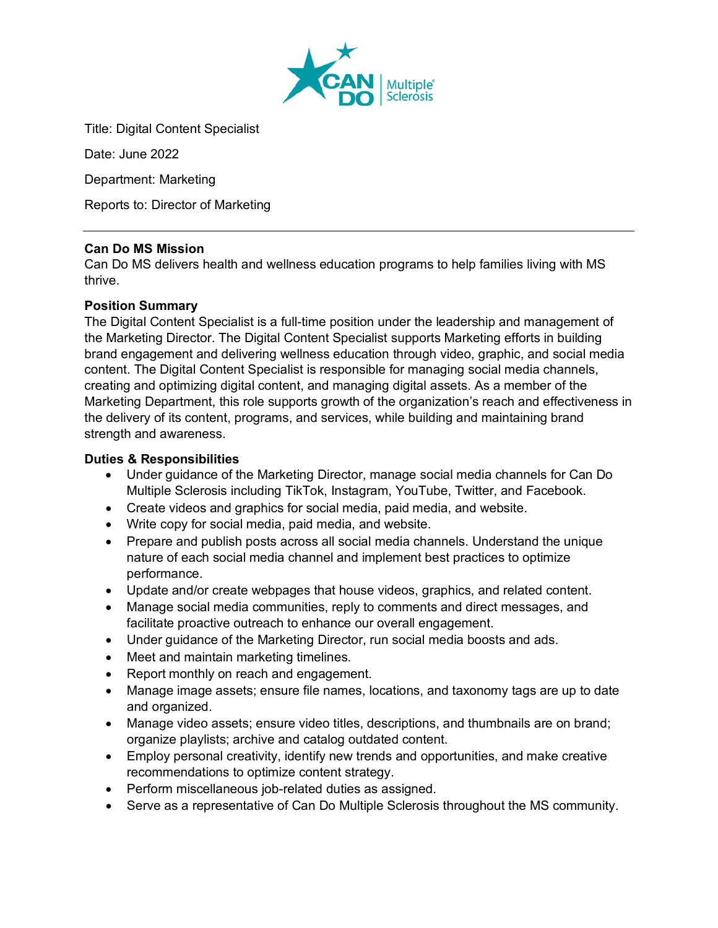

Title: Digital Content Specialist

Date: June 2022

Department: Marketing

Reports to: Director of Marketing

# **Can Do MS Mission**

Can Do MS delivers health and wellness education programs to help families living with MS thrive.

# **Position Summary**

The Digital Content Specialist is a full-time position under the leadership and management of the Marketing Director. The Digital Content Specialist supports Marketing efforts in building brand engagement and delivering wellness education through video, graphic, and social media content. The Digital Content Specialist is responsible for managing social media channels, creating and optimizing digital content, and managing digital assets. As a member of the Marketing Department, this role supports growth of the organization's reach and effectiveness in the delivery of its content, programs, and services, while building and maintaining brand strength and awareness.

## **Duties & Responsibilities**

- Under guidance of the Marketing Director, manage social media channels for Can Do Multiple Sclerosis including TikTok, Instagram, YouTube, Twitter, and Facebook.
- Create videos and graphics for social media, paid media, and website.
- Write copy for social media, paid media, and website.
- Prepare and publish posts across all social media channels. Understand the unique nature of each social media channel and implement best practices to optimize performance.
- Update and/or create webpages that house videos, graphics, and related content.
- Manage social media communities, reply to comments and direct messages, and facilitate proactive outreach to enhance our overall engagement.
- Under guidance of the Marketing Director, run social media boosts and ads.
- Meet and maintain marketing timelines.
- Report monthly on reach and engagement.
- Manage image assets; ensure file names, locations, and taxonomy tags are up to date and organized.
- Manage video assets; ensure video titles, descriptions, and thumbnails are on brand; organize playlists; archive and catalog outdated content.
- Employ personal creativity, identify new trends and opportunities, and make creative recommendations to optimize content strategy.
- Perform miscellaneous job-related duties as assigned.
- Serve as a representative of Can Do Multiple Sclerosis throughout the MS community.